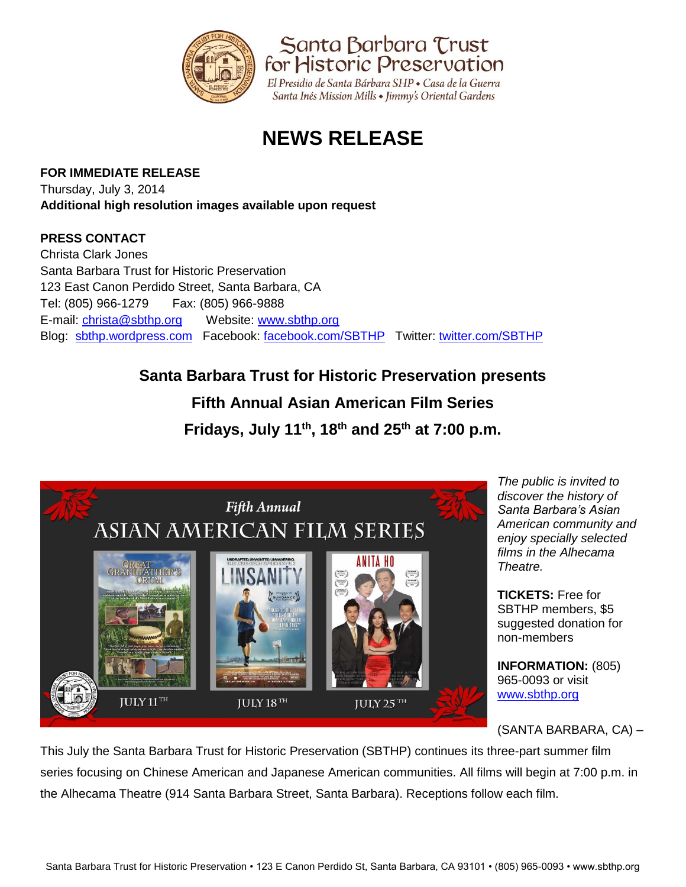

El Presidio de Santa Bárbara SHP • Casa de la Guerra Santa Inés Mission Mills • Jimmy's Oriental Gardens

Santa Barbara Trust for Historic Preservation

# **NEWS RELEASE**

### **FOR IMMEDIATE RELEASE**

Thursday, July 3, 2014 **Additional high resolution images available upon request**

### **PRESS CONTACT**

Christa Clark Jones Santa Barbara Trust for Historic Preservation 123 East Canon Perdido Street, Santa Barbara, CA Tel: (805) 966-1279 Fax: (805) 966-9888 E-mail: [christa@sbthp.org](mailto:christa@sbthp.org) Website: [www.sbthp.org](http://www.sbthp.org/) Blog: [sbthp.wordpress.com](http://sbthp.wordpress.com/) Facebook: [facebook.com/SBTHP](http://www.facebook.com/SBTHP) Twitter: [twitter.com/SBTHP](http://twitter.com/SBTHP)

## **Santa Barbara Trust for Historic Preservation presents**

# **Fifth Annual Asian American Film Series**

**Fridays, July 11th, 18 th and 25 th at 7:00 p.m.**



*The public is invited to discover the history of Santa Barbara's Asian American community and enjoy specially selected films in the Alhecama Theatre.*

**TICKETS:** Free for SBTHP members, \$5 suggested donation for non-members

**INFORMATION:** (805) 965-0093 or visit [www.sbthp.org](http://www.sbthp.org/)

(SANTA BARBARA, CA) –

This July the Santa Barbara Trust for Historic Preservation (SBTHP) continues its three-part summer film series focusing on Chinese American and Japanese American communities. All films will begin at 7:00 p.m. in the Alhecama Theatre (914 Santa Barbara Street, Santa Barbara). Receptions follow each film.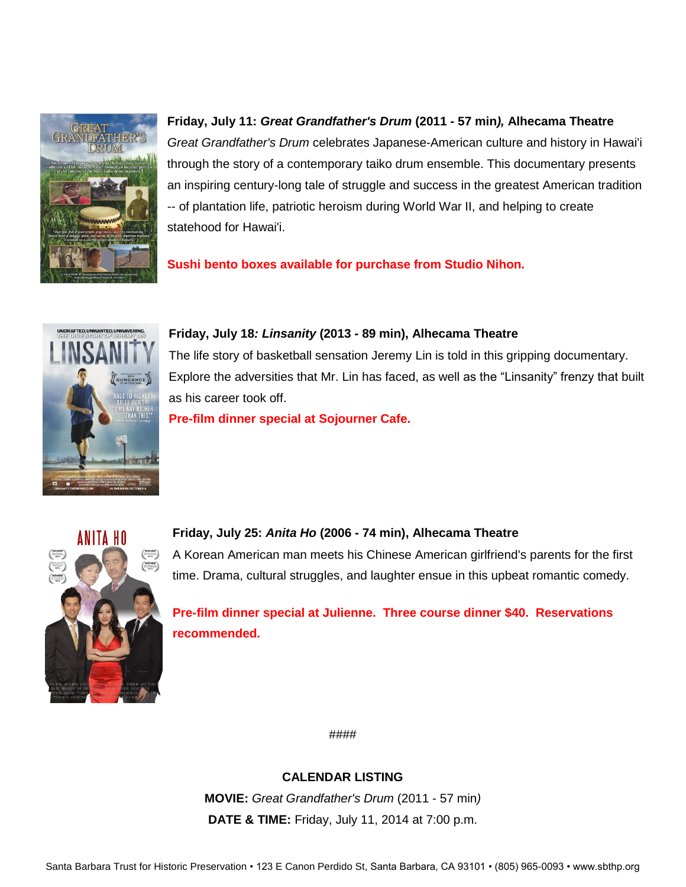

**Friday, July 11:** *Great Grandfather's Drum* **(2011 - 57 min***),* **Alhecama Theatre** *Great Grandfather's Drum* celebrates Japanese-American culture and history in Hawai'i through the story of a contemporary taiko drum ensemble. This documentary presents an inspiring century-long tale of struggle and success in the greatest American tradition -- of plantation life, patriotic heroism during World War II, and helping to create statehood for Hawai'i.

**Sushi bento boxes available for purchase from Studio Nihon.**



**Friday, July 18***: Linsanity* **(2013 - 89 min), Alhecama Theatre**

The life story of basketball sensation Jeremy Lin is told in this gripping documentary. Explore the adversities that Mr. Lin has faced, as well as the "Linsanity" frenzy that built as his career took off.

**Pre-film dinner special at Sojourner Cafe.**



**Friday, July 25:** *Anita Ho* **(2006 - 74 min), Alhecama Theatre**

A Korean American man meets his Chinese American girlfriend's parents for the first time. Drama, cultural struggles, and laughter ensue in this upbeat romantic comedy.

**Pre-film dinner special at Julienne. Three course dinner \$40. Reservations recommended.** 

####

**CALENDAR LISTING**

**MOVIE:** *Great Grandfather's Drum* (2011 - 57 min*)* **DATE & TIME:** Friday, July 11, 2014 at 7:00 p.m.